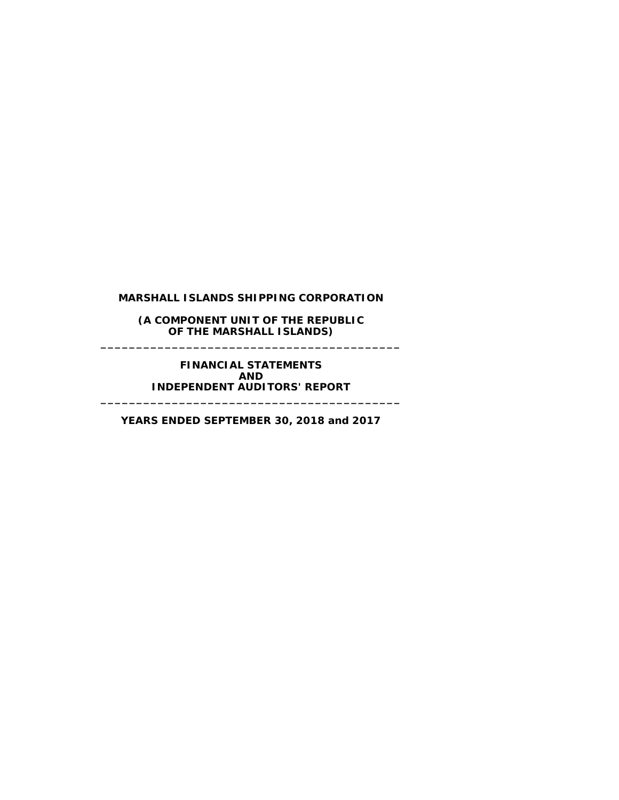#### **(A COMPONENT UNIT OF THE REPUBLIC OF THE MARSHALL ISLANDS) \_\_\_\_\_\_\_\_\_\_\_\_\_\_\_\_\_\_\_\_\_\_\_\_\_\_\_\_\_\_\_\_\_\_\_\_\_\_\_\_\_\_**

**FINANCIAL STATEMENTS AND INDEPENDENT AUDITORS' REPORT**

**YEARS ENDED SEPTEMBER 30, 2018 and 2017**

**\_\_\_\_\_\_\_\_\_\_\_\_\_\_\_\_\_\_\_\_\_\_\_\_\_\_\_\_\_\_\_\_\_\_\_\_\_\_\_\_\_\_**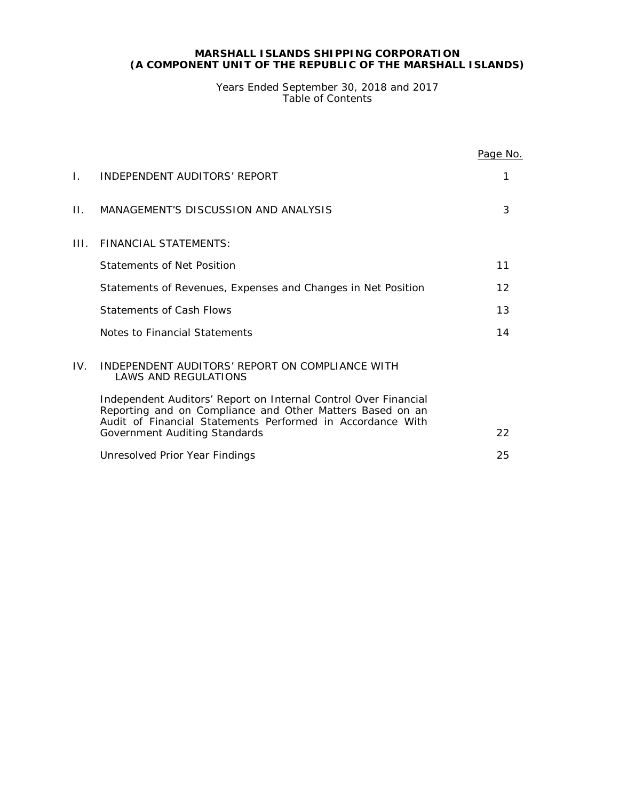## **MARSHALL ISLANDS SHIPPING CORPORATION (A COMPONENT UNIT OF THE REPUBLIC OF THE MARSHALL ISLANDS)**

Years Ended September 30, 2018 and 2017 Table of Contents

|      |                                                                                                                                                                                            | Page No. |
|------|--------------------------------------------------------------------------------------------------------------------------------------------------------------------------------------------|----------|
| L.   | INDEPENDENT AUDITORS' REPORT                                                                                                                                                               | 1        |
| Н.   | MANAGEMENT'S DISCUSSION AND ANALYSIS                                                                                                                                                       | 3        |
| III. | FINANCIAL STATFMENTS:                                                                                                                                                                      |          |
|      | Statements of Net Position                                                                                                                                                                 | 11       |
|      | Statements of Revenues, Expenses and Changes in Net Position                                                                                                                               | 12       |
|      | <b>Statements of Cash Flows</b>                                                                                                                                                            | 13       |
|      | Notes to Financial Statements                                                                                                                                                              | 14       |
| IV.  | INDEPENDENT AUDITORS' REPORT ON COMPLIANCE WITH<br>LAWS AND REGULATIONS                                                                                                                    |          |
|      | Independent Auditors' Report on Internal Control Over Financial<br>Reporting and on Compliance and Other Matters Based on an<br>Audit of Financial Statements Performed in Accordance With |          |
|      | Government Auditing Standards                                                                                                                                                              | 22       |
|      | Unresolved Prior Year Findings                                                                                                                                                             | 25       |
|      |                                                                                                                                                                                            |          |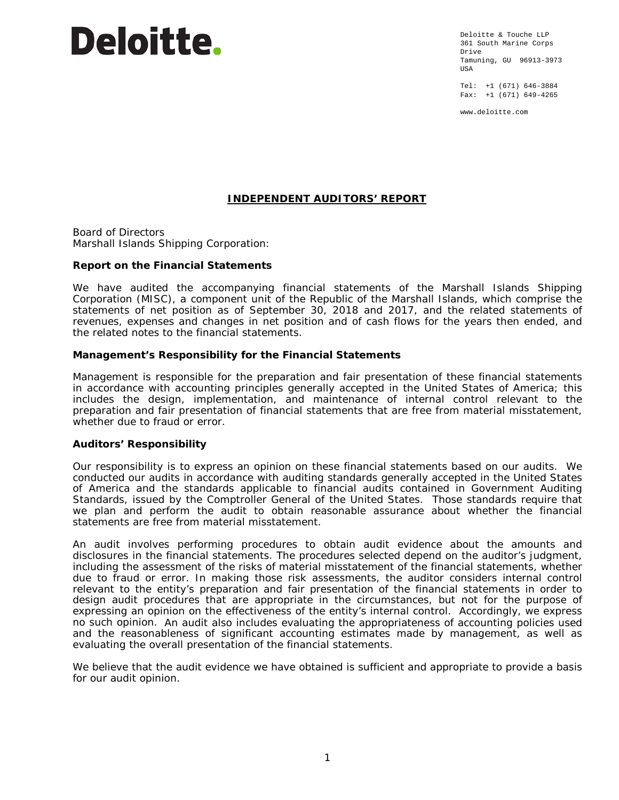# **Deloitte.**

Deloitte & Touche LLP 361 South Marine Corps Drive Tamuning, GU 96913-3973 USA

Tel: +1 (671) 646-3884 Fax: +1 (671) 649-4265

www.deloitte.com

# **INDEPENDENT AUDITORS' REPORT**

Board of Directors Marshall Islands Shipping Corporation:

# **Report on the Financial Statements**

We have audited the accompanying financial statements of the Marshall Islands Shipping Corporation (MISC), a component unit of the Republic of the Marshall Islands, which comprise the statements of net position as of September 30, 2018 and 2017, and the related statements of revenues, expenses and changes in net position and of cash flows for the years then ended, and the related notes to the financial statements.

# *Management's Responsibility for the Financial Statements*

Management is responsible for the preparation and fair presentation of these financial statements in accordance with accounting principles generally accepted in the United States of America; this includes the design, implementation, and maintenance of internal control relevant to the preparation and fair presentation of financial statements that are free from material misstatement, whether due to fraud or error.

#### *Auditors' Responsibility*

Our responsibility is to express an opinion on these financial statements based on our audits. We conducted our audits in accordance with auditing standards generally accepted in the United States of America and the standards applicable to financial audits contained in *Government Auditing Standards,* issued by the Comptroller General of the United States. Those standards require that we plan and perform the audit to obtain reasonable assurance about whether the financial statements are free from material misstatement.

An audit involves performing procedures to obtain audit evidence about the amounts and disclosures in the financial statements. The procedures selected depend on the auditor's judgment, including the assessment of the risks of material misstatement of the financial statements, whether due to fraud or error. In making those risk assessments, the auditor considers internal control relevant to the entity's preparation and fair presentation of the financial statements in order to design audit procedures that are appropriate in the circumstances, but not for the purpose of expressing an opinion on the effectiveness of the entity's internal control. Accordingly, we express no such opinion. An audit also includes evaluating the appropriateness of accounting policies used and the reasonableness of significant accounting estimates made by management, as well as evaluating the overall presentation of the financial statements.

We believe that the audit evidence we have obtained is sufficient and appropriate to provide a basis for our audit opinion.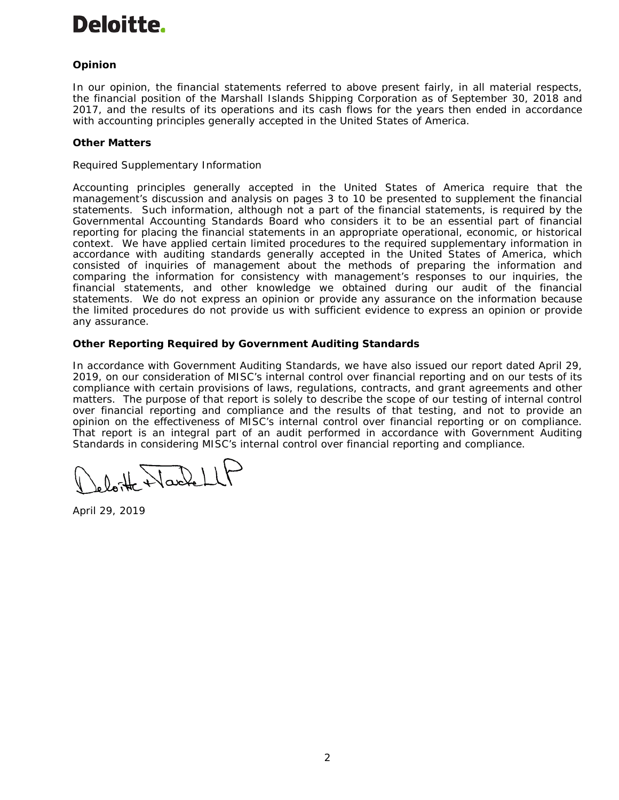# **Deloitte.**

# *Opinion*

In our opinion, the financial statements referred to above present fairly, in all material respects, the financial position of the Marshall Islands Shipping Corporation as of September 30, 2018 and 2017, and the results of its operations and its cash flows for the years then ended in accordance with accounting principles generally accepted in the United States of America.

# *Other Matters*

# *Required Supplementary Information*

Accounting principles generally accepted in the United States of America require that the management's discussion and analysis on pages 3 to 10 be presented to supplement the financial statements. Such information, although not a part of the financial statements, is required by the Governmental Accounting Standards Board who considers it to be an essential part of financial reporting for placing the financial statements in an appropriate operational, economic, or historical context. We have applied certain limited procedures to the required supplementary information in accordance with auditing standards generally accepted in the United States of America, which consisted of inquiries of management about the methods of preparing the information and comparing the information for consistency with management's responses to our inquiries, the financial statements, and other knowledge we obtained during our audit of the financial statements. We do not express an opinion or provide any assurance on the information because the limited procedures do not provide us with sufficient evidence to express an opinion or provide any assurance.

# **Other Reporting Required by** *Government Auditing Standards*

In accordance with *Government Auditing Standards*, we have also issued our report dated April 29, 2019, on our consideration of MISC's internal control over financial reporting and on our tests of its compliance with certain provisions of laws, regulations, contracts, and grant agreements and other matters. The purpose of that report is solely to describe the scope of our testing of internal control over financial reporting and compliance and the results of that testing, and not to provide an opinion on the effectiveness of MISC's internal control over financial reporting or on compliance. That report is an integral part of an audit performed in accordance with *Government Auditing Standards* in considering MISC's internal control over financial reporting and compliance.

loite Wackell

April 29, 2019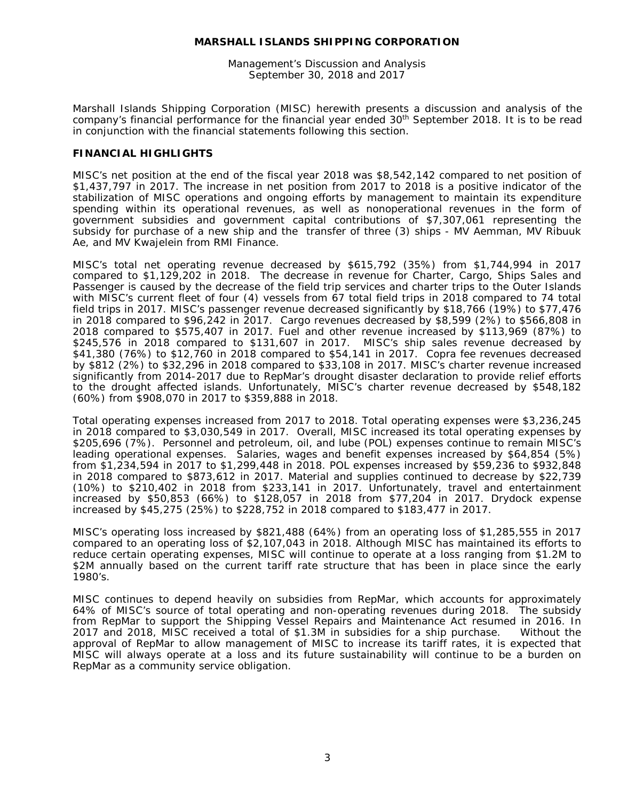Management's Discussion and Analysis September 30, 2018 and 2017

Marshall Islands Shipping Corporation (MISC) herewith presents a discussion and analysis of the company's financial performance for the financial year ended  $30<sup>th</sup>$  September 2018. It is to be read in conjunction with the financial statements following this section.

#### **FINANCIAL HIGHLIGHTS**

MISC's net position at the end of the fiscal year 2018 was \$8,542,142 compared to net position of \$1,437,797 in 2017. The increase in net position from 2017 to 2018 is a positive indicator of the stabilization of MISC operations and ongoing efforts by management to maintain its expenditure spending within its operational revenues, as well as nonoperational revenues in the form of government subsidies and government capital contributions of \$7,307,061 representing the subsidy for purchase of a new ship and the transfer of three (3) ships - MV Aemman, MV Ribuuk Ae, and MV Kwajelein from RMI Finance.

MISC's total net operating revenue decreased by \$615,792 (35%) from \$1,744,994 in 2017 compared to \$1,129,202 in 2018. The decrease in revenue for Charter, Cargo, Ships Sales and Passenger is caused by the decrease of the field trip services and charter trips to the Outer Islands with MISC's current fleet of four (4) vessels from 67 total field trips in 2018 compared to 74 total field trips in 2017. MISC's passenger revenue decreased significantly by \$18,766 (19%) to \$77,476 in 2018 compared to \$96,242 in 2017. Cargo revenues decreased by \$8,599 (2%) to \$566,808 in 2018 compared to \$575,407 in 2017. Fuel and other revenue increased by \$113,969 (87%) to \$245,576 in 2018 compared to \$131,607 in 2017. MISC's ship sales revenue decreased by \$41,380 (76%) to \$12,760 in 2018 compared to \$54,141 in 2017. Copra fee revenues decreased by \$812 (2%) to \$32,296 in 2018 compared to \$33,108 in 2017. MISC's charter revenue increased significantly from 2014-2017 due to RepMar's drought disaster declaration to provide relief efforts to the drought affected islands. Unfortunately, MISC's charter revenue decreased by \$548,182 (60%) from \$908,070 in 2017 to \$359,888 in 2018.

Total operating expenses increased from 2017 to 2018. Total operating expenses were \$3,236,245 in 2018 compared to \$3,030,549 in 2017. Overall, MISC increased its total operating expenses by \$205,696 (7%). Personnel and petroleum, oil, and lube (POL) expenses continue to remain MISC's leading operational expenses. Salaries, wages and benefit expenses increased by \$64,854 (5%) from \$1,234,594 in 2017 to \$1,299,448 in 2018. POL expenses increased by \$59,236 to \$932,848 in 2018 compared to \$873,612 in 2017. Material and supplies continued to decrease by \$22,739 (10%) to \$210,402 in 2018 from \$233,141 in 2017. Unfortunately, travel and entertainment increased by \$50,853 (66%) to \$128,057 in 2018 from \$77,204 in 2017. Drydock expense increased by \$45,275 (25%) to \$228,752 in 2018 compared to \$183,477 in 2017.

MISC's operating loss increased by \$821,488 (64%) from an operating loss of \$1,285,555 in 2017 compared to an operating loss of \$2,107,043 in 2018. Although MISC has maintained its efforts to reduce certain operating expenses, MISC will continue to operate at a loss ranging from \$1.2M to \$2M annually based on the current tariff rate structure that has been in place since the early 1980's.

MISC continues to depend heavily on subsidies from RepMar, which accounts for approximately 64% of MISC's source of total operating and non-operating revenues during 2018. The subsidy from RepMar to support the Shipping Vessel Repairs and Maintenance Act resumed in 2016. In 2017 and 2018, MISC received a total of \$1.3M in subsidies for a ship purchase. Without the approval of RepMar to allow management of MISC to increase its tariff rates, it is expected that MISC will always operate at a loss and its future sustainability will continue to be a burden on RepMar as a community service obligation.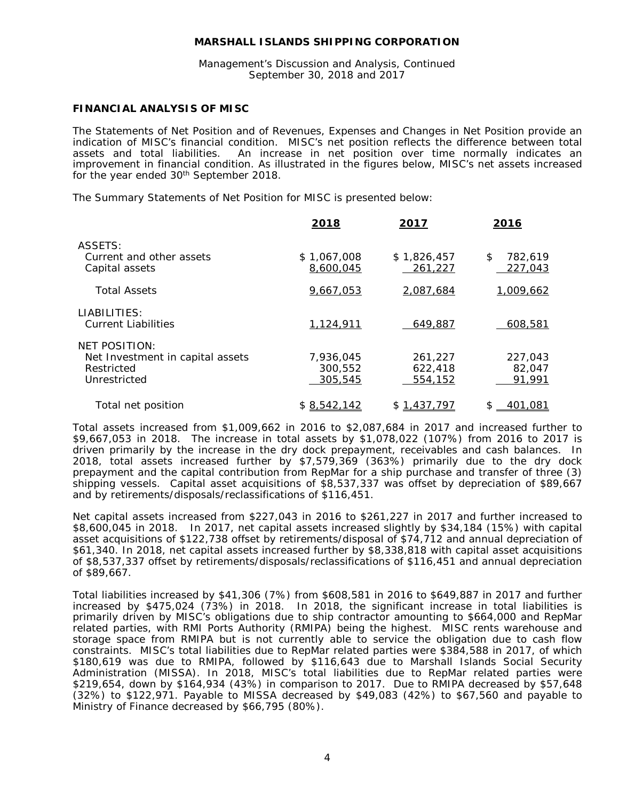Management's Discussion and Analysis, Continued September 30, 2018 and 2017

#### **FINANCIAL ANALYSIS OF MISC**

The Statements of Net Position and of Revenues, Expenses and Changes in Net Position provide an indication of MISC's financial condition. MISC's net position reflects the difference between total assets and total liabilities. An increase in net position over time normally indicates an An increase in net position over time normally indicates an improvement in financial condition. As illustrated in the figures below, MISC's net assets increased for the year ended 30<sup>th</sup> September 2018.

The Summary Statements of Net Position for MISC is presented below:

|                                                                                        | 2018                            | 2017                          | 2016                        |
|----------------------------------------------------------------------------------------|---------------------------------|-------------------------------|-----------------------------|
| ASSETS:<br>Current and other assets<br>Capital assets                                  | \$1,067,008<br>8,600,045        | \$1,826,457<br>261,227        | \$<br>782,619<br>227,043    |
| <b>Total Assets</b>                                                                    | 9,667,053                       | 2,087,684                     | 1,009,662                   |
| LIABILITIES:<br><b>Current Liabilities</b>                                             | 1,124,911                       | 649,887                       | 608,581                     |
| <b>NET POSITION:</b><br>Net Investment in capital assets<br>Restricted<br>Unrestricted | 7.936.045<br>300,552<br>305,545 | 261.227<br>622,418<br>554,152 | 227,043<br>82,047<br>91,991 |
| Total net position                                                                     | \$8,542,142                     | \$1,437,797                   | 401.081                     |

Total assets increased from \$1,009,662 in 2016 to \$2,087,684 in 2017 and increased further to \$9,667,053 in 2018. The increase in total assets by \$1,078,022 (107%) from 2016 to 2017 is driven primarily by the increase in the dry dock prepayment, receivables and cash balances. In 2018, total assets increased further by \$7,579,369 (363%) primarily due to the dry dock prepayment and the capital contribution from RepMar for a ship purchase and transfer of three (3) shipping vessels. Capital asset acquisitions of \$8,537,337 was offset by depreciation of \$89,667 and by retirements/disposals/reclassifications of \$116,451.

Net capital assets increased from \$227,043 in 2016 to \$261,227 in 2017 and further increased to \$8,600,045 in 2018. In 2017, net capital assets increased slightly by \$34,184 (15%) with capital asset acquisitions of \$122,738 offset by retirements/disposal of \$74,712 and annual depreciation of \$61,340. In 2018, net capital assets increased further by \$8,338,818 with capital asset acquisitions of \$8,537,337 offset by retirements/disposals/reclassifications of \$116,451 and annual depreciation of \$89,667.

Total liabilities increased by \$41,306 (7%) from \$608,581 in 2016 to \$649,887 in 2017 and further increased by \$475,024 ( $\overline{7}3\%$ ) in 2018. In 2018, the significant increase in total liabilities is primarily driven by MISC's obligations due to ship contractor amounting to \$664,000 and RepMar related parties, with RMI Ports Authority (RMIPA) being the highest. MISC rents warehouse and storage space from RMIPA but is not currently able to service the obligation due to cash flow constraints. MISC's total liabilities due to RepMar related parties were \$384,588 in 2017, of which \$180,619 was due to RMIPA, followed by \$116,643 due to Marshall Islands Social Security Administration (MISSA). In 2018, MISC's total liabilities due to RepMar related parties were \$219,654, down by \$164,934 (43%) in comparison to 2017. Due to RMIPA decreased by \$57,648 (32%) to \$122,971. Payable to MISSA decreased by \$49,083 (42%) to \$67,560 and payable to Ministry of Finance decreased by \$66,795 (80%).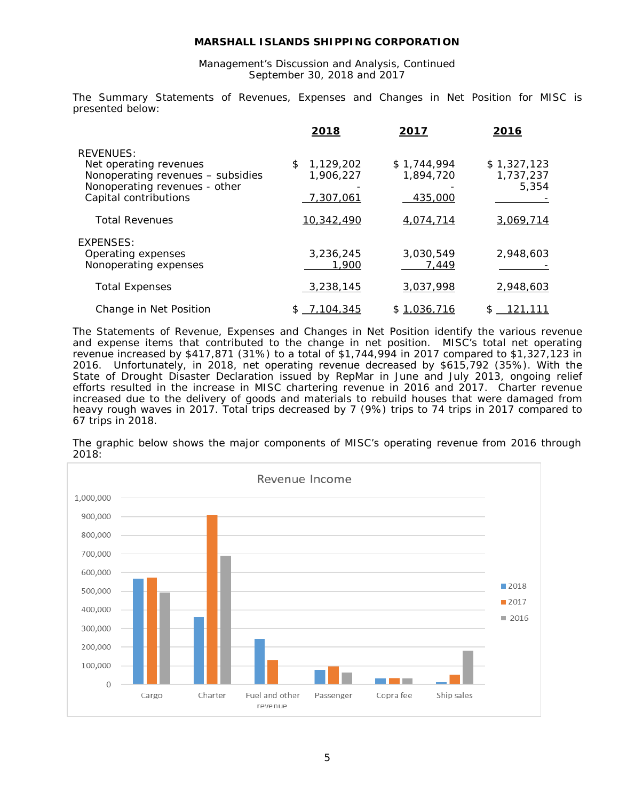Management's Discussion and Analysis, Continued September 30, 2018 and 2017

The Summary Statements of Revenues, Expenses and Changes in Net Position for MISC is presented below:

|                                                                                                                                           | 2018                                      | 2017                                | 2016                              |
|-------------------------------------------------------------------------------------------------------------------------------------------|-------------------------------------------|-------------------------------------|-----------------------------------|
| <b>REVENUES:</b><br>Net operating revenues<br>Nonoperating revenues - subsidies<br>Nonoperating revenues - other<br>Capital contributions | \$<br>1,129,202<br>1,906,227<br>7,307,061 | \$1.744.994<br>1,894,720<br>435,000 | \$1,327,123<br>1,737,237<br>5,354 |
| <b>Total Revenues</b>                                                                                                                     | 10,342,490                                | 4,074,714                           | 3,069,714                         |
| EXPENSES:<br>Operating expenses<br>Nonoperating expenses                                                                                  | 3,236,245<br>1,900                        | 3,030,549<br>7,449                  | 2,948,603                         |
| <b>Total Expenses</b>                                                                                                                     | 3,238,145                                 | 3,037,998                           | 2,948,603                         |
| Change in Net Position                                                                                                                    | 7.104.345                                 | \$1,036,716                         | 121.111                           |

The Statements of Revenue, Expenses and Changes in Net Position identify the various revenue and expense items that contributed to the change in net position. MISC's total net operating revenue increased by \$417,871 (31%) to a total of \$1,744,994 in 2017 compared to \$1,327,123 in 2016. Unfortunately, in 2018, net operating revenue decreased by \$615,792 (35%). With the State of Drought Disaster Declaration issued by RepMar in June and July 2013, ongoing relief efforts resulted in the increase in MISC chartering revenue in 2016 and 2017. Charter revenue increased due to the delivery of goods and materials to rebuild houses that were damaged from heavy rough waves in 2017. Total trips decreased by 7 (9%) trips to 74 trips in 2017 compared to 67 trips in 2018.

The graphic below shows the major components of MISC's operating revenue from 2016 through 2018:

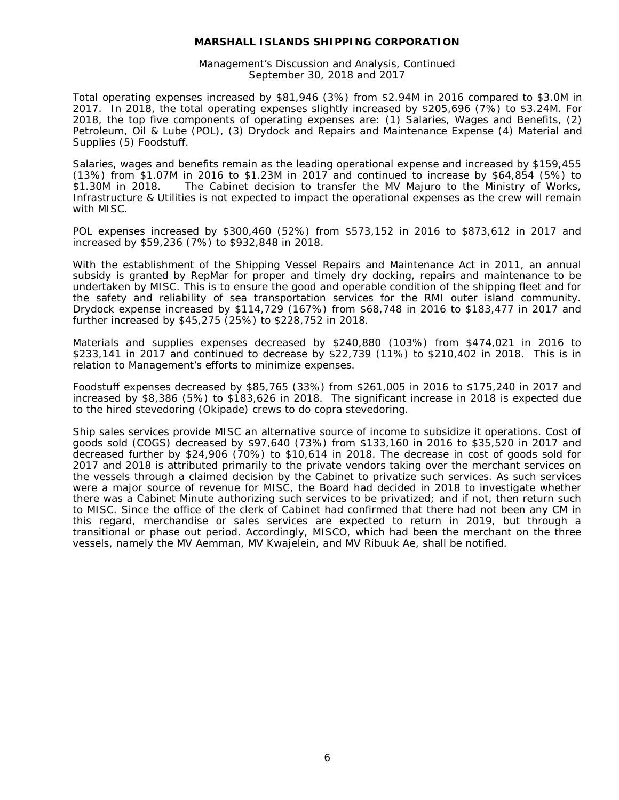Management's Discussion and Analysis, Continued September 30, 2018 and 2017

Total operating expenses increased by \$81,946 (3%) from \$2.94M in 2016 compared to \$3.0M in 2017. In 2018, the total operating expenses slightly increased by \$205,696 (7%) to \$3.24M. For 2018, the top five components of operating expenses are: (1) Salaries, Wages and Benefits, (2) Petroleum, Oil & Lube (POL), (3) Drydock and Repairs and Maintenance Expense (4) Material and Supplies (5) Foodstuff.

Salaries, wages and benefits remain as the leading operational expense and increased by \$159,455 (13%) from \$1.07M in 2016 to \$1.23M in 2017 and continued to increase by \$64,854 (5%) to \$1.30M in 2018. The Cabinet decision to transfer the MV Majuro to the Ministry of Works, Infrastructure & Utilities is not expected to impact the operational expenses as the crew will remain with MISC.

POL expenses increased by \$300,460 (52%) from \$573,152 in 2016 to \$873,612 in 2017 and increased by \$59,236 (7%) to \$932,848 in 2018.

With the establishment of the Shipping Vessel Repairs and Maintenance Act in 2011, an annual subsidy is granted by RepMar for proper and timely dry docking, repairs and maintenance to be undertaken by MISC. This is to ensure the good and operable condition of the shipping fleet and for the safety and reliability of sea transportation services for the RMI outer island community. Drydock expense increased by \$114,729 (167%) from \$68,748 in 2016 to \$183,477 in 2017 and further increased by \$45,275 (25%) to \$228,752 in 2018.

Materials and supplies expenses decreased by \$240,880 (103%) from \$474,021 in 2016 to \$233,141 in 2017 and continued to decrease by \$22,739 (11%) to \$210,402 in 2018. This is in relation to Management's efforts to minimize expenses.

Foodstuff expenses decreased by \$85,765 (33%) from \$261,005 in 2016 to \$175,240 in 2017 and increased by \$8,386 (5%) to \$183,626 in 2018. The significant increase in 2018 is expected due to the hired stevedoring (Okipade) crews to do copra stevedoring.

Ship sales services provide MISC an alternative source of income to subsidize it operations. Cost of goods sold (COGS) decreased by \$97,640 (73%) from \$133,160 in 2016 to \$35,520 in 2017 and decreased further by \$24,906 (70%) to \$10,614 in 2018. The decrease in cost of goods sold for 2017 and 2018 is attributed primarily to the private vendors taking over the merchant services on the vessels through a claimed decision by the Cabinet to privatize such services. As such services were a major source of revenue for MISC, the Board had decided in 2018 to investigate whether there was a Cabinet Minute authorizing such services to be privatized; and if not, then return such to MISC. Since the office of the clerk of Cabinet had confirmed that there had not been any CM in this regard, merchandise or sales services are expected to return in 2019, but through a transitional or phase out period. Accordingly, MISCO, which had been the merchant on the three vessels, namely the MV Aemman, MV Kwajelein, and MV Ribuuk Ae, shall be notified.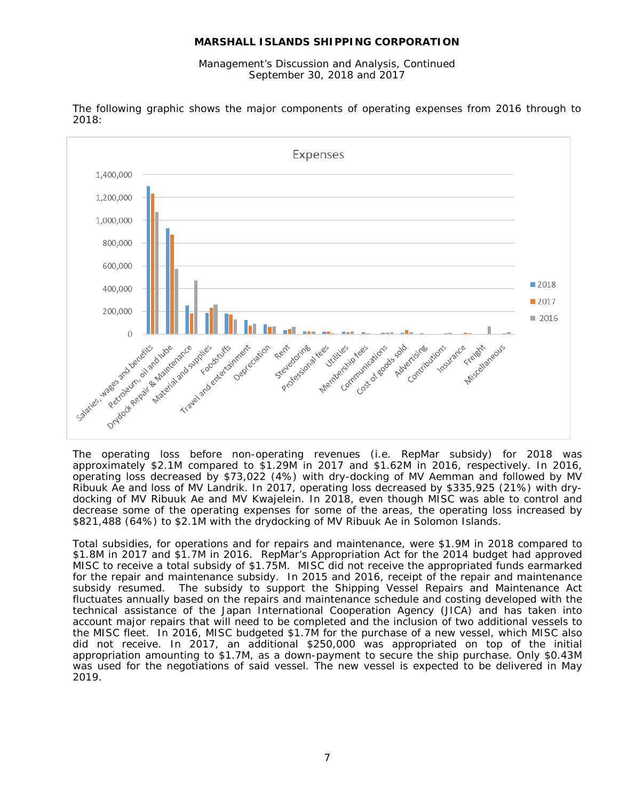Management's Discussion and Analysis, Continued September 30, 2018 and 2017



The following graphic shows the major components of operating expenses from 2016 through to 2018:

The operating loss before non-operating revenues (i.e. RepMar subsidy) for 2018 was approximately \$2.1M compared to \$1.29M in 2017 and \$1.62M in 2016, respectively. In 2016, operating loss decreased by \$73,022 (4%) with dry-docking of MV Aemman and followed by MV Ribuuk Ae and loss of MV Landrik. In 2017, operating loss decreased by \$335,925 (21%) with drydocking of MV Ribuuk Ae and MV Kwajelein. In 2018, even though MISC was able to control and decrease some of the operating expenses for some of the areas, the operating loss increased by \$821,488 (64%) to \$2.1M with the drydocking of MV Ribuuk Ae in Solomon Islands.

Total subsidies, for operations and for repairs and maintenance, were \$1.9M in 2018 compared to \$1.8M in 2017 and \$1.7M in 2016. RepMar's Appropriation Act for the 2014 budget had approved MISC to receive a total subsidy of \$1.75M. MISC did not receive the appropriated funds earmarked for the repair and maintenance subsidy. In 2015 and 2016, receipt of the repair and maintenance subsidy resumed. The subsidy to support the Shipping Vessel Repairs and Maintenance Act fluctuates annually based on the repairs and maintenance schedule and costing developed with the technical assistance of the Japan International Cooperation Agency (JICA) and has taken into account major repairs that will need to be completed and the inclusion of two additional vessels to the MISC fleet. In 2016, MISC budgeted \$1.7M for the purchase of a new vessel, which MISC also did not receive. In 2017, an additional \$250,000 was appropriated on top of the initial appropriation amounting to \$1.7M, as a down-payment to secure the ship purchase. Only \$0.43M was used for the negotiations of said vessel. The new vessel is expected to be delivered in May 2019.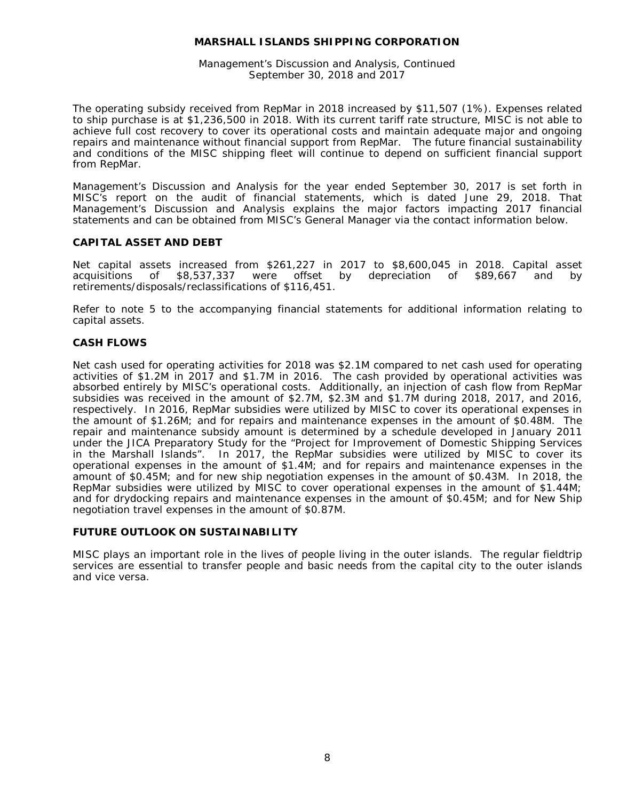Management's Discussion and Analysis, Continued September 30, 2018 and 2017

The operating subsidy received from RepMar in 2018 increased by \$11,507 (1%). Expenses related to ship purchase is at \$1,236,500 in 2018. With its current tariff rate structure, MISC is not able to achieve full cost recovery to cover its operational costs and maintain adequate major and ongoing repairs and maintenance without financial support from RepMar. The future financial sustainability and conditions of the MISC shipping fleet will continue to depend on sufficient financial support from RepMar.

Management's Discussion and Analysis for the year ended September 30, 2017 is set forth in MISC's report on the audit of financial statements, which is dated June 29, 2018. That Management's Discussion and Analysis explains the major factors impacting 2017 financial statements and can be obtained from MISC's General Manager via the contact information below.

# **CAPITAL ASSET AND DEBT**

Net capital assets increased from \$261,227 in 2017 to \$8,600,045 in 2018. Capital asset nequisitions of \$8,537,337 were offset by depreciation of \$89,667 and by acquisitions of \$8,537,337 were offset by depreciation of \$89,667 and by retirements/disposals/reclassifications of \$116,451.

Refer to note 5 to the accompanying financial statements for additional information relating to capital assets.

# **CASH FLOWS**

Net cash used for operating activities for 2018 was \$2.1M compared to net cash used for operating activities of \$1.2M in 2017 and \$1.7M in 2016. The cash provided by operational activities was absorbed entirely by MISC's operational costs. Additionally, an injection of cash flow from RepMar subsidies was received in the amount of \$2.7M, \$2.3M and \$1.7M during 2018, 2017, and 2016, respectively. In 2016, RepMar subsidies were utilized by MISC to cover its operational expenses in the amount of \$1.26M; and for repairs and maintenance expenses in the amount of \$0.48M. The repair and maintenance subsidy amount is determined by a schedule developed in January 2011 under the JICA Preparatory Study for the "Project for Improvement of Domestic Shipping Services in the Marshall Islands". In 2017, the RepMar subsidies were utilized by MISC to cover its operational expenses in the amount of \$1.4M; and for repairs and maintenance expenses in the amount of \$0.45M; and for new ship negotiation expenses in the amount of \$0.43M. In 2018, the RepMar subsidies were utilized by MISC to cover operational expenses in the amount of \$1.44M; and for drydocking repairs and maintenance expenses in the amount of \$0.45M; and for New Ship negotiation travel expenses in the amount of \$0.87M.

#### **FUTURE OUTLOOK ON SUSTAINABILITY**

MISC plays an important role in the lives of people living in the outer islands. The regular fieldtrip services are essential to transfer people and basic needs from the capital city to the outer islands and vice versa.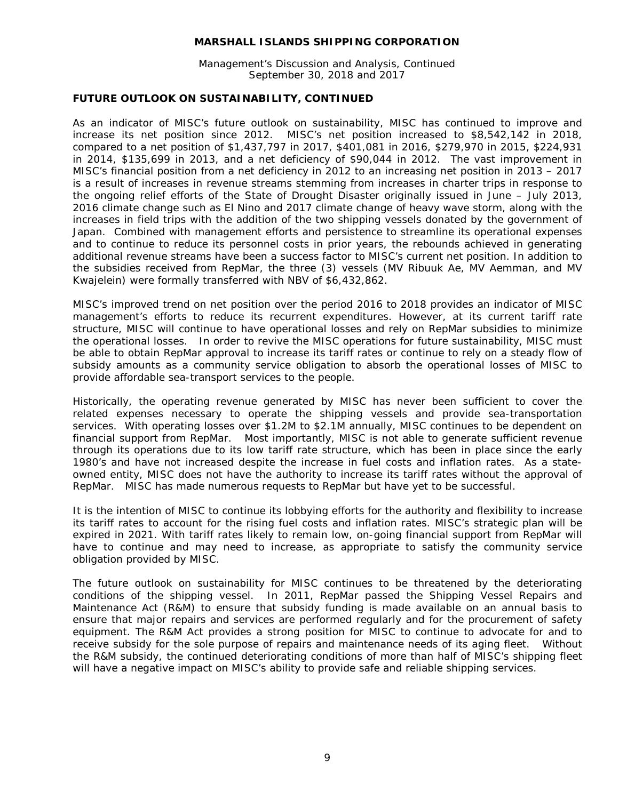Management's Discussion and Analysis, Continued September 30, 2018 and 2017

#### **FUTURE OUTLOOK ON SUSTAINABILITY, CONTINUED**

As an indicator of MISC's future outlook on sustainability, MISC has continued to improve and increase its net position since 2012. MISC's net position increased to \$8,542,142 in 2018, compared to a net position of \$1,437,797 in 2017, \$401,081 in 2016, \$279,970 in 2015, \$224,931 in 2014, \$135,699 in 2013, and a net deficiency of \$90,044 in 2012. The vast improvement in MISC's financial position from a net deficiency in 2012 to an increasing net position in 2013 – 2017 is a result of increases in revenue streams stemming from increases in charter trips in response to the ongoing relief efforts of the State of Drought Disaster originally issued in June – July 2013, 2016 climate change such as El Nino and 2017 climate change of heavy wave storm, along with the increases in field trips with the addition of the two shipping vessels donated by the government of Japan. Combined with management efforts and persistence to streamline its operational expenses and to continue to reduce its personnel costs in prior years, the rebounds achieved in generating additional revenue streams have been a success factor to MISC's current net position. In addition to the subsidies received from RepMar, the three (3) vessels (MV Ribuuk Ae, MV Aemman, and MV Kwajelein) were formally transferred with NBV of \$6,432,862.

MISC's improved trend on net position over the period 2016 to 2018 provides an indicator of MISC management's efforts to reduce its recurrent expenditures. However, at its current tariff rate structure, MISC will continue to have operational losses and rely on RepMar subsidies to minimize the operational losses. In order to revive the MISC operations for future sustainability, MISC must be able to obtain RepMar approval to increase its tariff rates or continue to rely on a steady flow of subsidy amounts as a community service obligation to absorb the operational losses of MISC to provide affordable sea-transport services to the people.

Historically, the operating revenue generated by MISC has never been sufficient to cover the related expenses necessary to operate the shipping vessels and provide sea-transportation services. With operating losses over \$1.2M to \$2.1M annually, MISC continues to be dependent on financial support from RepMar. Most importantly, MISC is not able to generate sufficient revenue through its operations due to its low tariff rate structure, which has been in place since the early 1980's and have not increased despite the increase in fuel costs and inflation rates. As a stateowned entity, MISC does not have the authority to increase its tariff rates without the approval of RepMar. MISC has made numerous requests to RepMar but have yet to be successful.

It is the intention of MISC to continue its lobbying efforts for the authority and flexibility to increase its tariff rates to account for the rising fuel costs and inflation rates. MISC's strategic plan will be expired in 2021. With tariff rates likely to remain low, on-going financial support from RepMar will have to continue and may need to increase, as appropriate to satisfy the community service obligation provided by MISC.

The future outlook on sustainability for MISC continues to be threatened by the deteriorating conditions of the shipping vessel. In 2011, RepMar passed the Shipping Vessel Repairs and Maintenance Act (R&M) to ensure that subsidy funding is made available on an annual basis to ensure that major repairs and services are performed regularly and for the procurement of safety equipment. The R&M Act provides a strong position for MISC to continue to advocate for and to receive subsidy for the sole purpose of repairs and maintenance needs of its aging fleet. Without the R&M subsidy, the continued deteriorating conditions of more than half of MISC's shipping fleet will have a negative impact on MISC's ability to provide safe and reliable shipping services.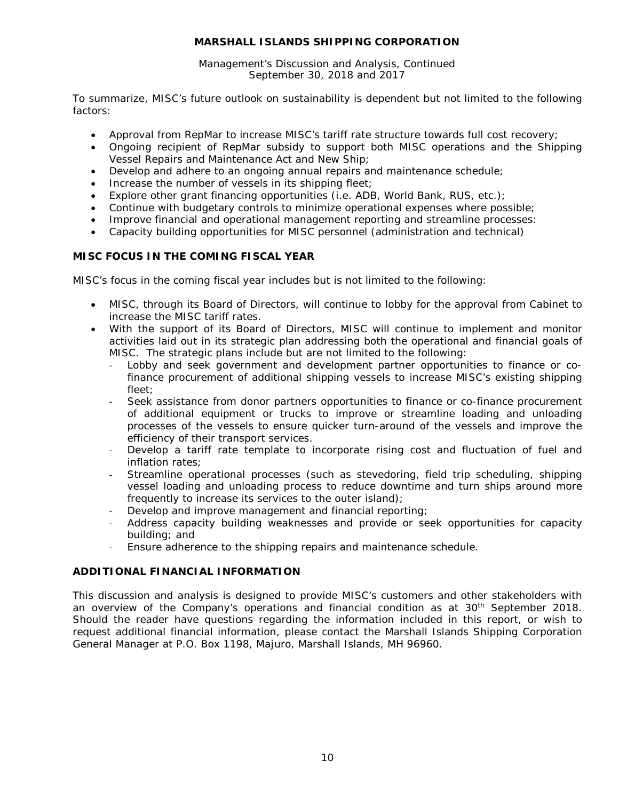Management's Discussion and Analysis, Continued September 30, 2018 and 2017

To summarize, MISC's future outlook on sustainability is dependent but not limited to the following factors:

- Approval from RepMar to increase MISC's tariff rate structure towards full cost recovery;
- Ongoing recipient of RepMar subsidy to support both MISC operations and the Shipping Vessel Repairs and Maintenance Act and New Ship;
- Develop and adhere to an ongoing annual repairs and maintenance schedule;
- Increase the number of vessels in its shipping fleet;
- Explore other grant financing opportunities (i.e. ADB, World Bank, RUS, etc.);
- Continue with budgetary controls to minimize operational expenses where possible;
- Improve financial and operational management reporting and streamline processes:
- Capacity building opportunities for MISC personnel (administration and technical)

# **MISC FOCUS IN THE COMING FISCAL YEAR**

MISC's focus in the coming fiscal year includes but is not limited to the following:

- MISC, through its Board of Directors, will continue to lobby for the approval from Cabinet to increase the MISC tariff rates.
- With the support of its Board of Directors, MISC will continue to implement and monitor activities laid out in its strategic plan addressing both the operational and financial goals of MISC. The strategic plans include but are not limited to the following:
	- Lobby and seek government and development partner opportunities to finance or cofinance procurement of additional shipping vessels to increase MISC's existing shipping fleet;
	- Seek assistance from donor partners opportunities to finance or co-finance procurement of additional equipment or trucks to improve or streamline loading and unloading processes of the vessels to ensure quicker turn-around of the vessels and improve the efficiency of their transport services.
	- Develop a tariff rate template to incorporate rising cost and fluctuation of fuel and inflation rates;
	- Streamline operational processes (such as stevedoring, field trip scheduling, shipping vessel loading and unloading process to reduce downtime and turn ships around more frequently to increase its services to the outer island);
	- Develop and improve management and financial reporting;
	- Address capacity building weaknesses and provide or seek opportunities for capacity building; and
	- Ensure adherence to the shipping repairs and maintenance schedule.

# **ADDITIONAL FINANCIAL INFORMATION**

This discussion and analysis is designed to provide MISC's customers and other stakeholders with an overview of the Company's operations and financial condition as at 30<sup>th</sup> September 2018. Should the reader have questions regarding the information included in this report, or wish to request additional financial information, please contact the Marshall Islands Shipping Corporation General Manager at P.O. Box 1198, Majuro, Marshall Islands, MH 96960.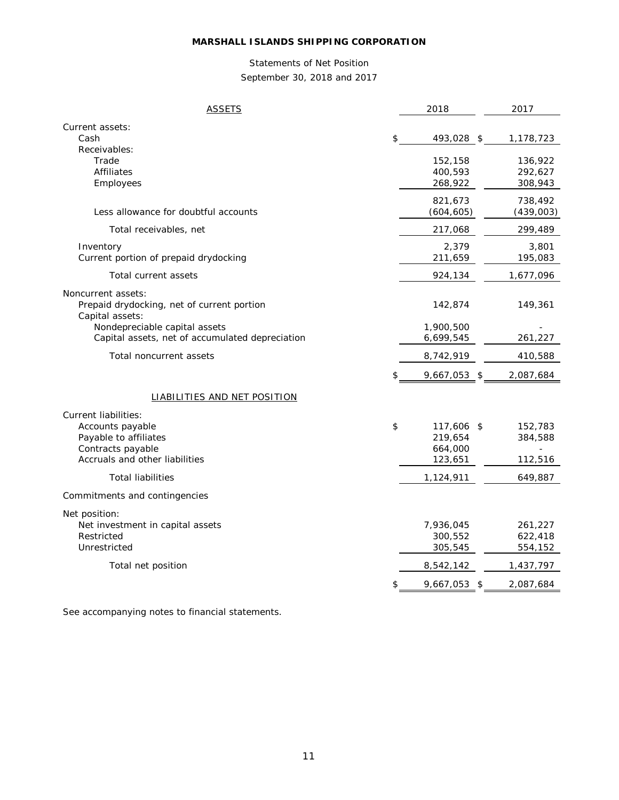# Statements of Net Position September 30, 2018 and 2017

| <b>ASSETS</b>                                                                       | 2018                  | 2017      |
|-------------------------------------------------------------------------------------|-----------------------|-----------|
| Current assets:                                                                     |                       |           |
| Cash                                                                                | \$<br>493,028 \$      | 1,178,723 |
| Receivables:<br>Trade                                                               | 152,158               | 136,922   |
| Affiliates                                                                          | 400,593               | 292,627   |
| Employees                                                                           | 268,922               | 308,943   |
|                                                                                     | 821,673               | 738,492   |
| Less allowance for doubtful accounts                                                | (604, 605)            | (439,003) |
| Total receivables, net                                                              | 217,068               | 299,489   |
| Inventory                                                                           | 2,379                 | 3,801     |
| Current portion of prepaid drydocking                                               | 211,659               | 195,083   |
| Total current assets                                                                | 924,134               | 1,677,096 |
| Noncurrent assets:<br>Prepaid drydocking, net of current portion<br>Capital assets: | 142,874               | 149,361   |
| Nondepreciable capital assets                                                       | 1,900,500             |           |
| Capital assets, net of accumulated depreciation                                     | 6,699,545             | 261,227   |
| Total noncurrent assets                                                             | 8,742,919             | 410,588   |
|                                                                                     | \$<br>9,667,053 \$    | 2,087,684 |
| LIABILITIES AND NET POSITION                                                        |                       |           |
| Current liabilities:                                                                |                       |           |
| Accounts payable                                                                    | \$<br>117,606 \$      | 152,783   |
| Payable to affiliates                                                               | 219,654               | 384,588   |
| Contracts payable<br>Accruals and other liabilities                                 | 664,000<br>123,651    | 112,516   |
| <b>Total liabilities</b>                                                            | 1,124,911             | 649,887   |
| Commitments and contingencies                                                       |                       |           |
|                                                                                     |                       |           |
| Net position:<br>Net investment in capital assets                                   | 7,936,045             | 261,227   |
| Restricted                                                                          | 300,552               | 622,418   |
| Unrestricted                                                                        | 305,545               | 554,152   |
| Total net position                                                                  | 8,542,142             | 1,437,797 |
|                                                                                     | \$<br>9,667,053<br>\$ | 2,087,684 |
|                                                                                     |                       |           |

See accompanying notes to financial statements.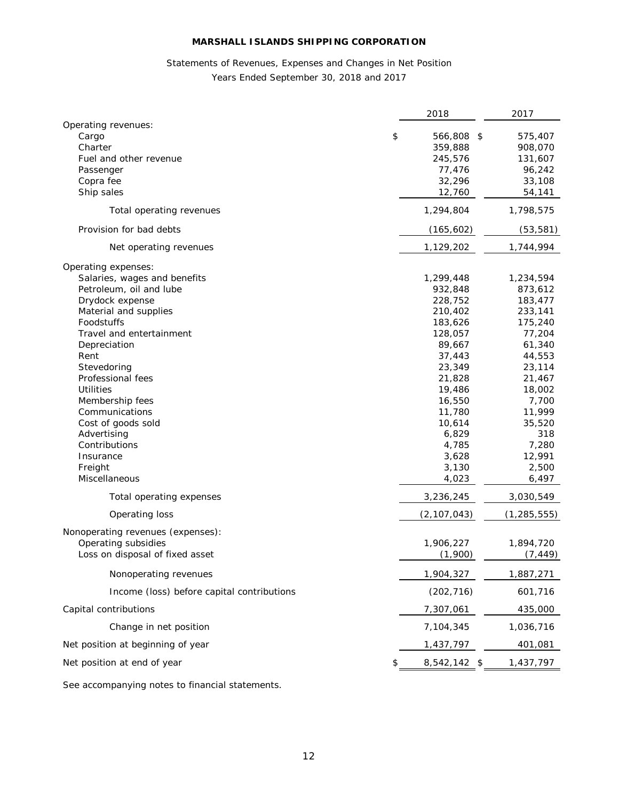# Statements of Revenues, Expenses and Changes in Net Position Years Ended September 30, 2018 and 2017

|                                            | 2018                  | 2017            |
|--------------------------------------------|-----------------------|-----------------|
| Operating revenues:                        |                       |                 |
| \$<br>Cargo                                | 566,808 \$            | 575,407         |
| Charter                                    | 359,888               | 908,070         |
| Fuel and other revenue                     | 245,576               | 131,607         |
| Passenger                                  | 77,476                | 96,242          |
| Copra fee                                  | 32,296                | 33,108          |
| Ship sales                                 | 12,760                | 54,141          |
| Total operating revenues                   | 1,294,804             | 1,798,575       |
| Provision for bad debts                    | (165, 602)            | (53, 581)       |
| Net operating revenues                     | 1,129,202             | 1,744,994       |
| Operating expenses:                        |                       |                 |
| Salaries, wages and benefits               | 1,299,448             | 1,234,594       |
| Petroleum, oil and lube                    | 932,848               | 873,612         |
| Drydock expense                            | 228,752               | 183,477         |
| Material and supplies                      | 210,402               | 233,141         |
| Foodstuffs                                 | 183,626               | 175,240         |
| Travel and entertainment                   | 128,057               | 77,204          |
| Depreciation                               | 89,667                | 61,340          |
| Rent                                       | 37,443                | 44,553          |
| Stevedoring                                | 23,349                | 23,114          |
| Professional fees                          | 21,828                | 21,467          |
| Utilities                                  | 19,486                | 18,002          |
| Membership fees                            | 16,550                | 7,700           |
| Communications                             | 11,780                | 11,999          |
| Cost of goods sold                         | 10,614                | 35,520<br>318   |
| Advertising<br>Contributions               | 6,829                 |                 |
| Insurance                                  | 4,785<br>3,628        | 7,280<br>12,991 |
| Freight                                    | 3,130                 | 2,500           |
| Miscellaneous                              | 4,023                 | 6,497           |
| Total operating expenses                   | 3,236,245             | 3,030,549       |
| Operating loss                             | (2, 107, 043)         | (1, 285, 555)   |
|                                            |                       |                 |
| Nonoperating revenues (expenses):          |                       |                 |
| Operating subsidies                        | 1,906,227             | 1,894,720       |
| Loss on disposal of fixed asset            | (1,900)               | (7, 449)        |
| Nonoperating revenues                      | 1,904,327             | 1,887,271       |
| Income (loss) before capital contributions | (202, 716)            | 601,716         |
| Capital contributions                      | 7,307,061             | 435,000         |
| Change in net position                     | 7,104,345             | 1,036,716       |
| Net position at beginning of year          | 1,437,797             | 401,081         |
| Net position at end of year                | $8,542,142$ \$<br>\$. | 1,437,797       |

See accompanying notes to financial statements.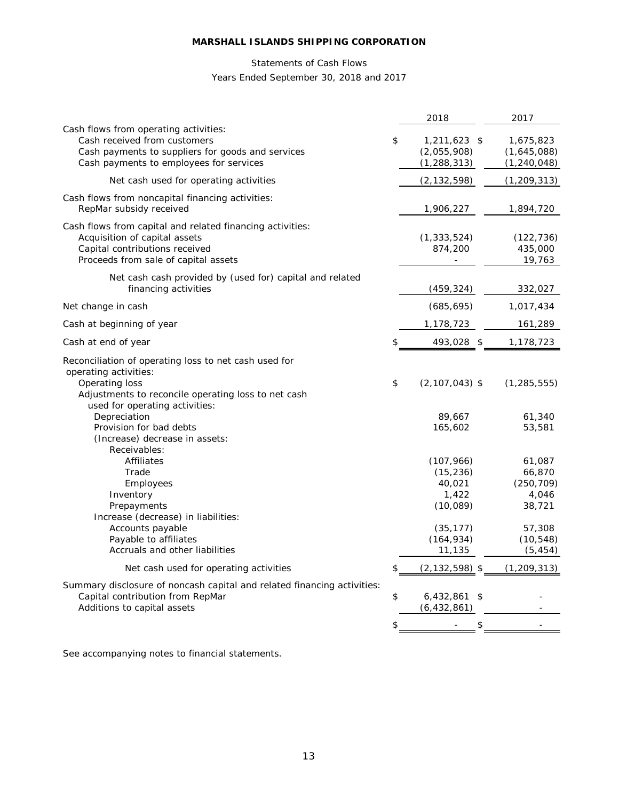# Statements of Cash Flows

Years Ended September 30, 2018 and 2017

|                                                                                                                                                                                                                                                                                                                                                                                                                                            |     | 2018                                                                                                                         | 2017                                                                                                          |
|--------------------------------------------------------------------------------------------------------------------------------------------------------------------------------------------------------------------------------------------------------------------------------------------------------------------------------------------------------------------------------------------------------------------------------------------|-----|------------------------------------------------------------------------------------------------------------------------------|---------------------------------------------------------------------------------------------------------------|
| Cash flows from operating activities:<br>Cash received from customers<br>Cash payments to suppliers for goods and services<br>Cash payments to employees for services                                                                                                                                                                                                                                                                      | \$  | 1,211,623 \$<br>(2,055,908)<br>(1, 288, 313)                                                                                 | 1,675,823<br>(1,645,088)<br>(1, 240, 048)                                                                     |
| Net cash used for operating activities                                                                                                                                                                                                                                                                                                                                                                                                     |     | (2, 132, 598)                                                                                                                | (1, 209, 313)                                                                                                 |
| Cash flows from noncapital financing activities:<br>RepMar subsidy received                                                                                                                                                                                                                                                                                                                                                                |     | 1,906,227                                                                                                                    | 1,894,720                                                                                                     |
| Cash flows from capital and related financing activities:<br>Acquisition of capital assets<br>Capital contributions received<br>Proceeds from sale of capital assets                                                                                                                                                                                                                                                                       |     | (1, 333, 524)<br>874,200                                                                                                     | (122, 736)<br>435,000<br>19,763                                                                               |
| Net cash cash provided by (used for) capital and related<br>financing activities                                                                                                                                                                                                                                                                                                                                                           |     | (459, 324)                                                                                                                   | 332,027                                                                                                       |
| Net change in cash                                                                                                                                                                                                                                                                                                                                                                                                                         |     | (685, 695)                                                                                                                   | 1,017,434                                                                                                     |
| Cash at beginning of year                                                                                                                                                                                                                                                                                                                                                                                                                  |     | 1,178,723                                                                                                                    | 161,289                                                                                                       |
| Cash at end of year                                                                                                                                                                                                                                                                                                                                                                                                                        | \$. | 493,028 \$                                                                                                                   | 1,178,723                                                                                                     |
| Reconciliation of operating loss to net cash used for<br>operating activities:<br>Operating loss<br>Adjustments to reconcile operating loss to net cash<br>used for operating activities:<br>Depreciation<br>Provision for bad debts<br>(Increase) decrease in assets:<br>Receivables:<br>Affiliates<br>Trade<br>Employees<br>Inventory<br>Prepayments<br>Increase (decrease) in liabilities:<br>Accounts payable<br>Payable to affiliates | \$  | $(2, 107, 043)$ \$<br>89,667<br>165,602<br>(107, 966)<br>(15, 236)<br>40,021<br>1,422<br>(10,089)<br>(35, 177)<br>(164, 934) | (1, 285, 555)<br>61,340<br>53,581<br>61,087<br>66,870<br>(250, 709)<br>4,046<br>38,721<br>57,308<br>(10, 548) |
| Accruals and other liabilities                                                                                                                                                                                                                                                                                                                                                                                                             |     | 11,135                                                                                                                       | (5, 454)                                                                                                      |
| Net cash used for operating activities                                                                                                                                                                                                                                                                                                                                                                                                     | \$  | $(2, 132, 598)$ \$                                                                                                           | (1, 209, 313)                                                                                                 |
| Summary disclosure of noncash capital and related financing activities:<br>Capital contribution from RepMar<br>Additions to capital assets                                                                                                                                                                                                                                                                                                 | \$  | 6,432,861 \$<br>(6, 432, 861)                                                                                                |                                                                                                               |
|                                                                                                                                                                                                                                                                                                                                                                                                                                            | \$  | \$                                                                                                                           |                                                                                                               |
|                                                                                                                                                                                                                                                                                                                                                                                                                                            |     |                                                                                                                              |                                                                                                               |

See accompanying notes to financial statements.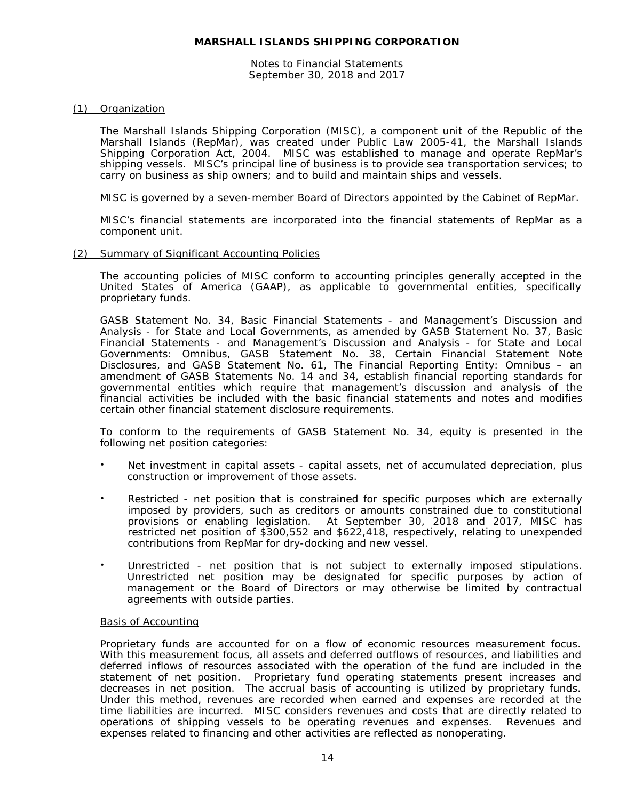Notes to Financial Statements September 30, 2018 and 2017

#### (1) Organization

The Marshall Islands Shipping Corporation (MISC), a component unit of the Republic of the Marshall Islands (RepMar), was created under Public Law 2005-41, the Marshall Islands Shipping Corporation Act, 2004. MISC was established to manage and operate RepMar's shipping vessels. MISC's principal line of business is to provide sea transportation services; to carry on business as ship owners; and to build and maintain ships and vessels.

MISC is governed by a seven-member Board of Directors appointed by the Cabinet of RepMar.

MISC's financial statements are incorporated into the financial statements of RepMar as a component unit.

#### (2) Summary of Significant Accounting Policies

The accounting policies of MISC conform to accounting principles generally accepted in the United States of America (GAAP), as applicable to governmental entities, specifically proprietary funds.

GASB Statement No. 34, *Basic Financial Statements - and Management's Discussion and Analysis - for State and Local Governments*, as amended by GASB Statement No. 37, *Basic Financial Statements - and Management's Discussion and Analysis - for State and Local Governments: Omnibus*, GASB Statement No. 38, *Certain Financial Statement Note Disclosures*, and GASB Statement No. 61, *The Financial Reporting Entity: Omnibus – an amendment of GASB Statements No. 14 and 34,* establish financial reporting standards for governmental entities which require that management's discussion and analysis of the financial activities be included with the basic financial statements and notes and modifies certain other financial statement disclosure requirements.

To conform to the requirements of GASB Statement No. 34, equity is presented in the following net position categories:

- Net investment in capital assets capital assets, net of accumulated depreciation, plus construction or improvement of those assets.
- Restricted net position that is constrained for specific purposes which are externally imposed by providers, such as creditors or amounts constrained due to constitutional provisions or enabling legislation. At September 30, 2018 and 2017, MISC has restricted net position of \$300,552 and \$622,418, respectively, relating to unexpended contributions from RepMar for dry-docking and new vessel.
- Unrestricted net position that is not subject to externally imposed stipulations. Unrestricted net position may be designated for specific purposes by action of management or the Board of Directors or may otherwise be limited by contractual agreements with outside parties.

#### Basis of Accounting

Proprietary funds are accounted for on a flow of economic resources measurement focus. With this measurement focus, all assets and deferred outflows of resources, and liabilities and deferred inflows of resources associated with the operation of the fund are included in the statement of net position. Proprietary fund operating statements present increases and decreases in net position. The accrual basis of accounting is utilized by proprietary funds. Under this method, revenues are recorded when earned and expenses are recorded at the time liabilities are incurred. MISC considers revenues and costs that are directly related to operations of shipping vessels to be operating revenues and expenses. Revenues and expenses related to financing and other activities are reflected as nonoperating.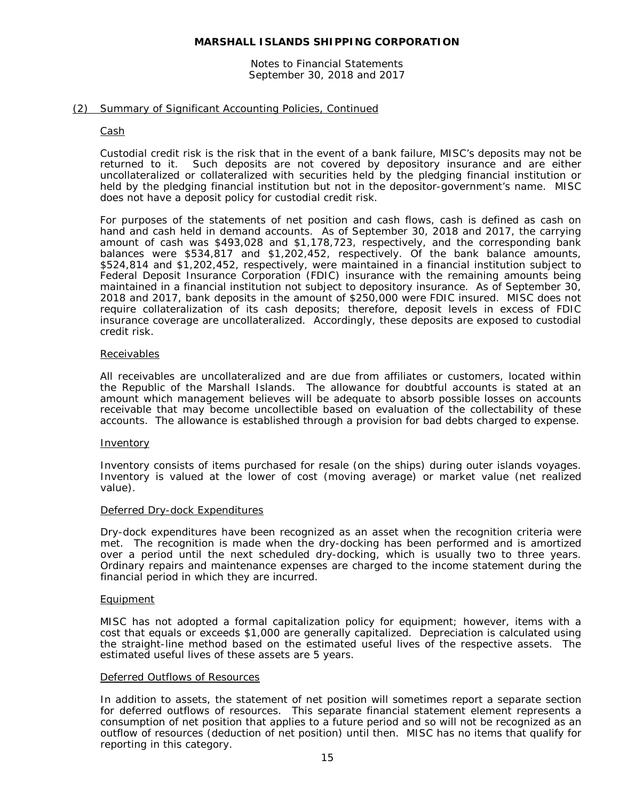Notes to Financial Statements September 30, 2018 and 2017

#### (2) Summary of Significant Accounting Policies, Continued

#### Cash

Custodial credit risk is the risk that in the event of a bank failure, MISC's deposits may not be returned to it. Such deposits are not covered by depository insurance and are either uncollateralized or collateralized with securities held by the pledging financial institution or held by the pledging financial institution but not in the depositor-government's name. MISC does not have a deposit policy for custodial credit risk.

For purposes of the statements of net position and cash flows, cash is defined as cash on hand and cash held in demand accounts. As of September 30, 2018 and 2017, the carrying amount of cash was \$493,028 and \$1,178,723, respectively, and the corresponding bank balances were \$534,817 and \$1,202,452, respectively. Of the bank balance amounts, \$524,814 and \$1,202,452, respectively, were maintained in a financial institution subject to Federal Deposit Insurance Corporation (FDIC) insurance with the remaining amounts being maintained in a financial institution not subject to depository insurance. As of September 30, 2018 and 2017, bank deposits in the amount of \$250,000 were FDIC insured. MISC does not require collateralization of its cash deposits; therefore, deposit levels in excess of FDIC insurance coverage are uncollateralized. Accordingly, these deposits are exposed to custodial credit risk.

#### Receivables

All receivables are uncollateralized and are due from affiliates or customers, located within the Republic of the Marshall Islands. The allowance for doubtful accounts is stated at an amount which management believes will be adequate to absorb possible losses on accounts receivable that may become uncollectible based on evaluation of the collectability of these accounts. The allowance is established through a provision for bad debts charged to expense.

#### **Inventory**

Inventory consists of items purchased for resale (on the ships) during outer islands voyages. Inventory is valued at the lower of cost (moving average) or market value (net realized value).

#### Deferred Dry-dock Expenditures

Dry-dock expenditures have been recognized as an asset when the recognition criteria were met. The recognition is made when the dry-docking has been performed and is amortized over a period until the next scheduled dry-docking, which is usually two to three years. Ordinary repairs and maintenance expenses are charged to the income statement during the financial period in which they are incurred.

#### Equipment

MISC has not adopted a formal capitalization policy for equipment; however, items with a cost that equals or exceeds \$1,000 are generally capitalized. Depreciation is calculated using the straight-line method based on the estimated useful lives of the respective assets. The estimated useful lives of these assets are 5 years.

#### Deferred Outflows of Resources

In addition to assets, the statement of net position will sometimes report a separate section for deferred outflows of resources. This separate financial statement element represents a consumption of net position that applies to a future period and so will not be recognized as an outflow of resources (deduction of net position) until then. MISC has no items that qualify for reporting in this category.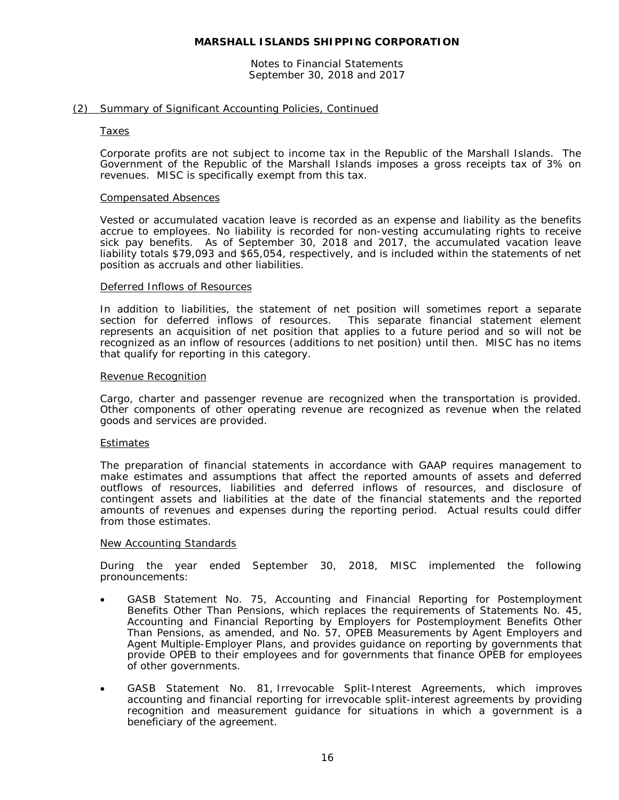Notes to Financial Statements September 30, 2018 and 2017

#### (2) Summary of Significant Accounting Policies, Continued

#### **Taxes**

Corporate profits are not subject to income tax in the Republic of the Marshall Islands. The Government of the Republic of the Marshall Islands imposes a gross receipts tax of 3% on revenues. MISC is specifically exempt from this tax.

#### Compensated Absences

Vested or accumulated vacation leave is recorded as an expense and liability as the benefits accrue to employees. No liability is recorded for non-vesting accumulating rights to receive sick pay benefits. As of September 30, 2018 and 2017, the accumulated vacation leave liability totals \$79,093 and \$65,054, respectively, and is included within the statements of net position as accruals and other liabilities.

#### Deferred Inflows of Resources

In addition to liabilities, the statement of net position will sometimes report a separate section for deferred inflows of resources. This separate financial statement element This separate financial statement element represents an acquisition of net position that applies to a future period and so will not be recognized as an inflow of resources (additions to net position) until then. MISC has no items that qualify for reporting in this category.

#### Revenue Recognition

Cargo, charter and passenger revenue are recognized when the transportation is provided. Other components of other operating revenue are recognized as revenue when the related goods and services are provided.

#### Estimates

The preparation of financial statements in accordance with GAAP requires management to make estimates and assumptions that affect the reported amounts of assets and deferred outflows of resources, liabilities and deferred inflows of resources, and disclosure of contingent assets and liabilities at the date of the financial statements and the reported amounts of revenues and expenses during the reporting period. Actual results could differ from those estimates.

#### New Accounting Standards

During the year ended September 30, 2018, MISC implemented the following pronouncements:

- GASB Statement No. 75, *Accounting and Financial Reporting for Postemployment Benefits Other Than Pensions*, which replaces the requirements of Statements No. 45, *Accounting and Financial Reporting by Employers for Postemployment Benefits Other Than Pensions*, as amended, and No. 57, *OPEB Measurements by Agent Employers and Agent Multiple-Employer Plans*, and provides guidance on reporting by governments that provide OPEB to their employees and for governments that finance OPEB for employees of other governments.
- GASB Statement No. 81, *Irrevocable Split-Interest Agreements,* which improves accounting and financial reporting for irrevocable split-interest agreements by providing recognition and measurement guidance for situations in which a government is a beneficiary of the agreement.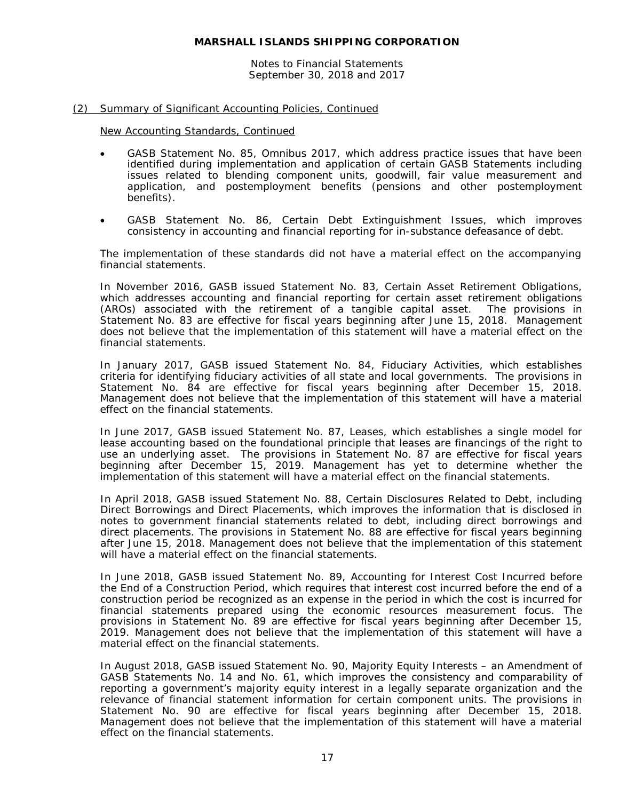Notes to Financial Statements September 30, 2018 and 2017

#### (2) Summary of Significant Accounting Policies, Continued

#### New Accounting Standards, Continued

- GASB Statement No. 85, *Omnibus 2017*, which address practice issues that have been identified during implementation and application of certain GASB Statements including issues related to blending component units, goodwill, fair value measurement and application, and postemployment benefits (pensions and other postemployment benefits).
- GASB Statement No. 86, *Certain Debt Extinguishment Issues*, which improves consistency in accounting and financial reporting for in-substance defeasance of debt.

The implementation of these standards did not have a material effect on the accompanying financial statements.

In November 2016, GASB issued Statement No. 83, *Certain Asset Retirement Obligations*, which addresses accounting and financial reporting for certain asset retirement obligations (AROs) associated with the retirement of a tangible capital asset. The provisions in Statement No. 83 are effective for fiscal years beginning after June 15, 2018. Management does not believe that the implementation of this statement will have a material effect on the financial statements.

In January 2017, GASB issued Statement No. 84, *Fiduciary Activities*, which establishes criteria for identifying fiduciary activities of all state and local governments. The provisions in Statement No. 84 are effective for fiscal years beginning after December 15, 2018. Management does not believe that the implementation of this statement will have a material effect on the financial statements.

In June 2017, GASB issued Statement No. 87, *Leases*, which establishes a single model for lease accounting based on the foundational principle that leases are financings of the right to use an underlying asset. The provisions in Statement No. 87 are effective for fiscal years beginning after December 15, 2019. Management has yet to determine whether the implementation of this statement will have a material effect on the financial statements.

In April 2018, GASB issued Statement No. 88, *Certain Disclosures Related to Debt, including Direct Borrowings and Direct Placements*, which improves the information that is disclosed in notes to government financial statements related to debt, including direct borrowings and direct placements. The provisions in Statement No. 88 are effective for fiscal years beginning after June 15, 2018. Management does not believe that the implementation of this statement will have a material effect on the financial statements.

In June 2018, GASB issued Statement No. 89, *Accounting for Interest Cost Incurred before the End of a Construction Period*, which requires that interest cost incurred before the end of a construction period be recognized as an expense in the period in which the cost is incurred for financial statements prepared using the economic resources measurement focus. The provisions in Statement No. 89 are effective for fiscal years beginning after December 15, 2019. Management does not believe that the implementation of this statement will have a material effect on the financial statements.

In August 2018, GASB issued Statement No. 90, *Majority Equity Interests – an Amendment of GASB Statements No. 14 and No. 61,* which improves the consistency and comparability of reporting a government's majority equity interest in a legally separate organization and the relevance of financial statement information for certain component units. The provisions in Statement No. 90 are effective for fiscal years beginning after December 15, 2018. Management does not believe that the implementation of this statement will have a material effect on the financial statements.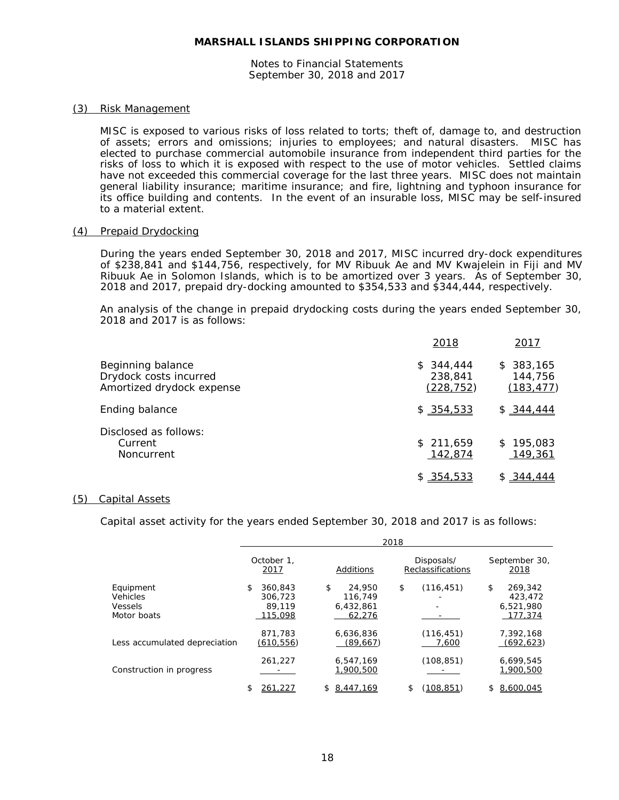Notes to Financial Statements September 30, 2018 and 2017

#### (3) Risk Management

MISC is exposed to various risks of loss related to torts; theft of, damage to, and destruction of assets; errors and omissions; injuries to employees; and natural disasters. MISC has elected to purchase commercial automobile insurance from independent third parties for the risks of loss to which it is exposed with respect to the use of motor vehicles. Settled claims have not exceeded this commercial coverage for the last three years. MISC does not maintain general liability insurance; maritime insurance; and fire, lightning and typhoon insurance for its office building and contents. In the event of an insurable loss, MISC may be self-insured to a material extent.

#### (4) Prepaid Drydocking

During the years ended September 30, 2018 and 2017, MISC incurred dry-dock expenditures of \$238,841 and \$144,756, respectively, for MV Ribuuk Ae and MV Kwajelein in Fiji and MV Ribuuk Ae in Solomon Islands, which is to be amortized over 3 years. As of September 30, 2018 and 2017, prepaid dry-docking amounted to \$354,533 and \$344,444, respectively.

An analysis of the change in prepaid drydocking costs during the years ended September 30, 2018 and 2017 is as follows:

|                                                                          | 2018                               | 2017                               |
|--------------------------------------------------------------------------|------------------------------------|------------------------------------|
| Beginning balance<br>Drydock costs incurred<br>Amortized drydock expense | \$344.444<br>238,841<br>(228, 752) | \$383,165<br>144,756<br>(183, 477) |
| Ending balance                                                           | \$354,533                          | \$344,444                          |
| Disclosed as follows:<br>Current<br><b>Noncurrent</b>                    | \$211,659<br>142,874               | 195,083<br>\$<br>149,361           |
|                                                                          | \$ 354,533                         | \$344,444                          |

#### (5) Capital Assets

Capital asset activity for the years ended September 30, 2018 and 2017 is as follows:

|                                                 | 2018                                         |                                                |                                 |                                                  |  |
|-------------------------------------------------|----------------------------------------------|------------------------------------------------|---------------------------------|--------------------------------------------------|--|
|                                                 | October 1.<br>2017                           | Additions                                      | Disposals/<br>Reclassifications | September 30,<br>2018                            |  |
| Equipment<br>Vehicles<br>Vessels<br>Motor boats | 360,843<br>S<br>306,723<br>89.119<br>115,098 | \$<br>24,950<br>116,749<br>6,432,861<br>62,276 | \$<br>(116.451)                 | \$<br>269.342<br>423,472<br>6,521,980<br>177,374 |  |
| Less accumulated depreciation                   | 871.783<br>(610, 556)                        | 6.636.836<br>(89, 667)                         | (116, 451)<br>7.600             | 7,392,168<br>(692, 623)                          |  |
| Construction in progress                        | 261,227                                      | 6,547,169<br>1,900,500                         | (108, 851)                      | 6,699,545<br>1,900,500                           |  |
|                                                 | 261.227                                      | 8.447.169<br>\$                                | 108.851                         | 8.600.045                                        |  |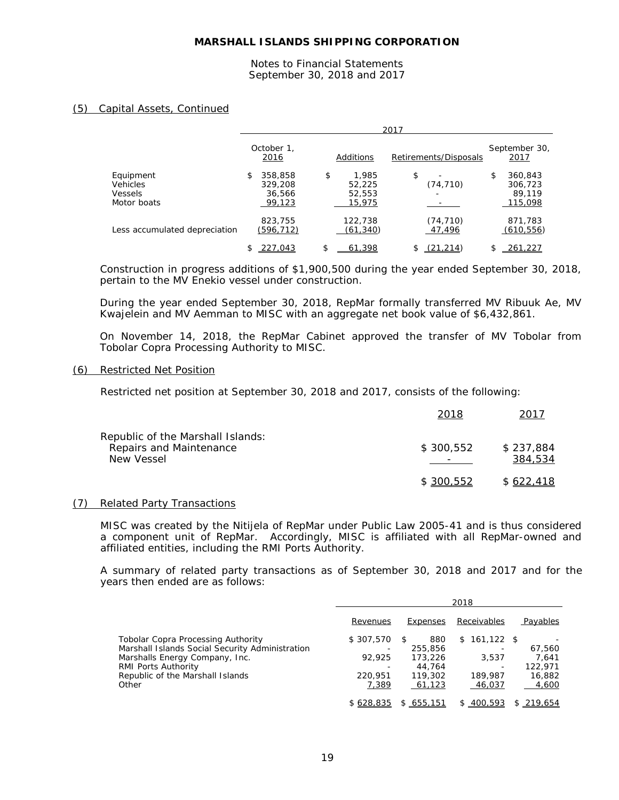Notes to Financial Statements September 30, 2018 and 2017

#### (5) Capital Assets, Continued

|                                                               | 2017 |                                        |    |                                     |    |                                       |    |                                         |
|---------------------------------------------------------------|------|----------------------------------------|----|-------------------------------------|----|---------------------------------------|----|-----------------------------------------|
|                                                               |      | October 1.<br>2016                     |    | Additions                           |    | Retirements/Disposals                 |    | September 30,<br>2017                   |
| Equipment<br><b>Vehicles</b><br><b>Vessels</b><br>Motor boats | \$   | 358,858<br>329,208<br>36,566<br>99,123 | \$ | 1,985<br>52,225<br>52,553<br>15,975 | \$ | (74, 710)<br>$\overline{\phantom{0}}$ | \$ | 360,843<br>306,723<br>89,119<br>115,098 |
| Less accumulated depreciation                                 |      | 823,755<br>(596, 712)                  |    | 122,738<br><u>(61,340)</u>          |    | (74, 710)<br>47,496                   |    | 871,783<br>(610, 556)                   |
|                                                               | \$   | .27.043                                |    | 61.398                              |    |                                       |    | 261                                     |

Construction in progress additions of \$1,900,500 during the year ended September 30, 2018, pertain to the MV Enekio vessel under construction.

During the year ended September 30, 2018, RepMar formally transferred MV Ribuuk Ae, MV Kwajelein and MV Aemman to MISC with an aggregate net book value of \$6,432,861.

On November 14, 2018, the RepMar Cabinet approved the transfer of MV Tobolar from Tobolar Copra Processing Authority to MISC.

#### (6) Restricted Net Position

Restricted net position at September 30, 2018 and 2017, consists of the following:

|                                   | 2018      | 2017      |
|-----------------------------------|-----------|-----------|
| Republic of the Marshall Islands: |           |           |
| Repairs and Maintenance           | \$300.552 | \$237.884 |
| New Vessel                        |           | 384,534   |
|                                   | \$300.552 | \$622,418 |
|                                   |           |           |

#### (7) Related Party Transactions

MISC was created by the Nitijela of RepMar under Public Law 2005-41 and is thus considered a component unit of RepMar. Accordingly, MISC is affiliated with all RepMar-owned and affiliated entities, including the RMI Ports Authority.

A summary of related party transactions as of September 30, 2018 and 2017 and for the years then ended are as follows:

|                                                 | 2018      |           |               |           |
|-------------------------------------------------|-----------|-----------|---------------|-----------|
|                                                 | Revenues  | Expenses  | Receivables   | Payables  |
| <b>Tobolar Copra Processing Authority</b>       | \$307,570 | 880       | $$161,122$ \$ |           |
| Marshall Islands Social Security Administration |           | 255,856   |               | 67,560    |
| Marshalls Energy Company, Inc.                  | 92.925    | 173,226   | 3.537         | 7.641     |
| <b>RMI Ports Authority</b>                      |           | 44.764    |               | 122.971   |
| Republic of the Marshall Islands                | 220.951   | 119,302   | 189,987       | 16,882    |
| Other                                           | 7,389     | 61,123    | 46,037        | 4,600     |
|                                                 | \$628,835 | \$655.151 | \$400.593     | \$219.654 |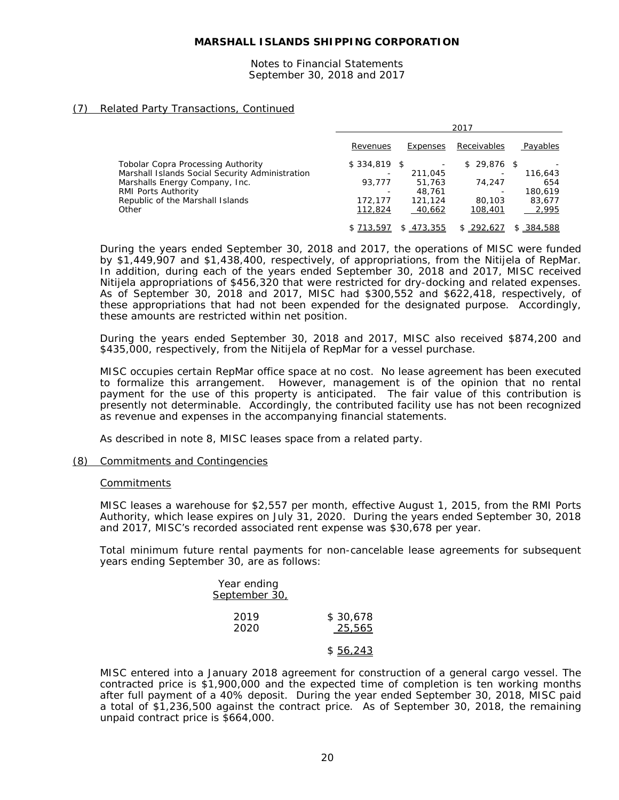Notes to Financial Statements September 30, 2018 and 2017

#### (7) Related Party Transactions, Continued

|                                                 | 2017                     |               |                          |           |
|-------------------------------------------------|--------------------------|---------------|--------------------------|-----------|
|                                                 | Revenues                 | Expenses      | Receivables              | Payables  |
| <b>Tobolar Copra Processing Authority</b>       | $$334,819$ \$            |               | $$29,876$ \$             |           |
| Marshall Islands Social Security Administration | $\overline{\phantom{0}}$ | 211,045       | $\overline{\phantom{0}}$ | 116,643   |
| Marshalls Energy Company, Inc.                  | 93.777                   | 51,763        | 74.247                   | 654       |
| <b>RMI Ports Authority</b>                      |                          | 48.761        | $\overline{\phantom{a}}$ | 180.619   |
| Republic of the Marshall Islands                | 172.177                  | 121,124       | 80,103                   | 83,677    |
| Other                                           | 112,824                  | 40,662        | 108,401                  | 2,995     |
|                                                 | \$713.597                | 473,355<br>S. | \$292.627                | \$384.588 |

During the years ended September 30, 2018 and 2017, the operations of MISC were funded by \$1,449,907 and \$1,438,400, respectively, of appropriations, from the Nitijela of RepMar. In addition, during each of the years ended September 30, 2018 and 2017, MISC received Nitijela appropriations of \$456,320 that were restricted for dry-docking and related expenses. As of September 30, 2018 and 2017, MISC had \$300,552 and \$622,418, respectively, of these appropriations that had not been expended for the designated purpose. Accordingly, these amounts are restricted within net position.

During the years ended September 30, 2018 and 2017, MISC also received \$874,200 and \$435,000, respectively, from the Nitijela of RepMar for a vessel purchase.

MISC occupies certain RepMar office space at no cost. No lease agreement has been executed to formalize this arrangement. However, management is of the opinion that no rental payment for the use of this property is anticipated. The fair value of this contribution is presently not determinable. Accordingly, the contributed facility use has not been recognized as revenue and expenses in the accompanying financial statements.

As described in note 8, MISC leases space from a related party.

#### (8) Commitments and Contingencies

#### **Commitments**

MISC leases a warehouse for \$2,557 per month, effective August 1, 2015, from the RMI Ports Authority, which lease expires on July 31, 2020. During the years ended September 30, 2018 and 2017, MISC's recorded associated rent expense was \$30,678 per year.

Total minimum future rental payments for non-cancelable lease agreements for subsequent years ending September 30, are as follows:

| Year ending<br>September 30, |          |
|------------------------------|----------|
| 2019                         | \$30,678 |
| 2020                         | 25,565   |

#### \$ 56,243

MISC entered into a January 2018 agreement for construction of a general cargo vessel. The contracted price is \$1,900,000 and the expected time of completion is ten working months after full payment of a 40% deposit. During the year ended September 30, 2018, MISC paid a total of \$1,236,500 against the contract price. As of September 30, 2018, the remaining unpaid contract price is \$664,000.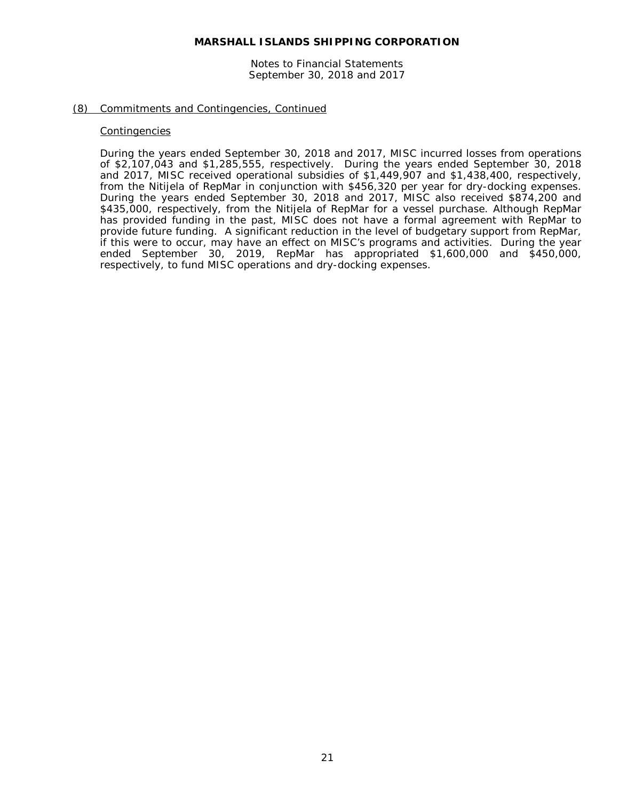Notes to Financial Statements September 30, 2018 and 2017

#### (8) Commitments and Contingencies, Continued

#### **Contingencies**

During the years ended September 30, 2018 and 2017, MISC incurred losses from operations of \$2,107,043 and \$1,285,555, respectively. During the years ended September 30, 2018 and 2017, MISC received operational subsidies of \$1,449,907 and \$1,438,400, respectively, from the Nitijela of RepMar in conjunction with \$456,320 per year for dry-docking expenses. During the years ended September 30, 2018 and 2017, MISC also received \$874,200 and \$435,000, respectively, from the Nitijela of RepMar for a vessel purchase. Although RepMar has provided funding in the past, MISC does not have a formal agreement with RepMar to provide future funding. A significant reduction in the level of budgetary support from RepMar, if this were to occur, may have an effect on MISC's programs and activities. During the year ended September 30, 2019, RepMar has appropriated \$1,600,000 and \$450,000, respectively, to fund MISC operations and dry-docking expenses.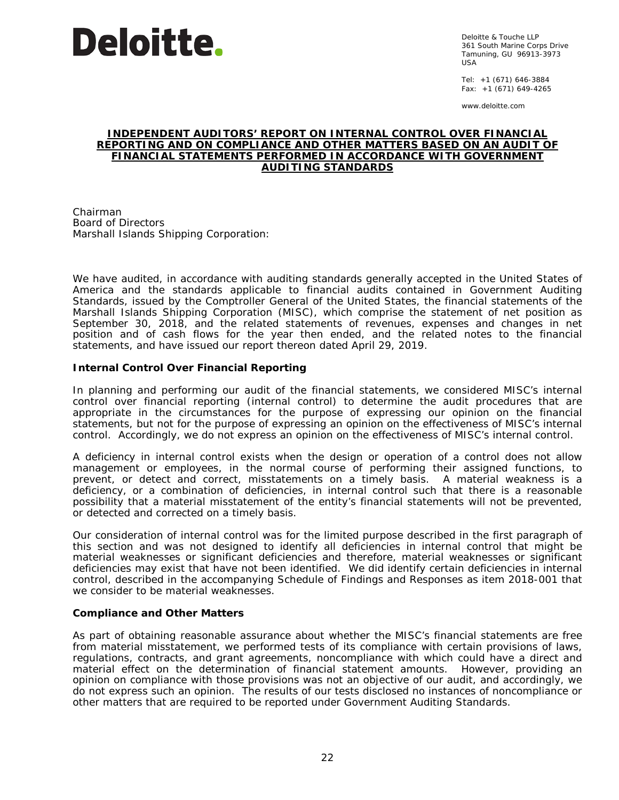

Deloitte & Touche LLP 361 South Marine Corps Drive Tamuning, GU 96913-3973 USA

Tel: +1 (671) 646-3884 Fax:  $+1$  (671) 649-4265

www.deloitte.com

#### **INDEPENDENT AUDITORS' REPORT ON INTERNAL CONTROL OVER FINANCIAL REPORTING AND ON COMPLIANCE AND OTHER MATTERS BASED ON AN AUDIT OF FINANCIAL STATEMENTS PERFORMED IN ACCORDANCE WITH** *GOVERNMENT AUDITING STANDARDS*

Chairman Board of Directors Marshall Islands Shipping Corporation:

We have audited, in accordance with auditing standards generally accepted in the United States of America and the standards applicable to financial audits contained in *Government Auditing Standards,* issued by the Comptroller General of the United States, the financial statements of the Marshall Islands Shipping Corporation (MISC), which comprise the statement of net position as September 30, 2018, and the related statements of revenues, expenses and changes in net position and of cash flows for the year then ended, and the related notes to the financial statements, and have issued our report thereon dated April 29, 2019.

#### **Internal Control Over Financial Reporting**

In planning and performing our audit of the financial statements, we considered MISC's internal control over financial reporting (internal control) to determine the audit procedures that are appropriate in the circumstances for the purpose of expressing our opinion on the financial statements, but not for the purpose of expressing an opinion on the effectiveness of MISC's internal control. Accordingly, we do not express an opinion on the effectiveness of MISC's internal control.

A *deficiency in internal control* exists when the design or operation of a control does not allow management or employees, in the normal course of performing their assigned functions, to prevent, or detect and correct, misstatements on a timely basis. A *material weakness* is a deficiency, or a combination of deficiencies, in internal control such that there is a reasonable possibility that a material misstatement of the entity's financial statements will not be prevented, or detected and corrected on a timely basis.

Our consideration of internal control was for the limited purpose described in the first paragraph of this section and was not designed to identify all deficiencies in internal control that might be material weaknesses or significant deficiencies and therefore, material weaknesses or significant deficiencies may exist that have not been identified. We did identify certain deficiencies in internal control, described in the accompanying Schedule of Findings and Responses as item 2018-001 that we consider to be material weaknesses.

#### **Compliance and Other Matters**

As part of obtaining reasonable assurance about whether the MISC's financial statements are free from material misstatement, we performed tests of its compliance with certain provisions of laws, regulations, contracts, and grant agreements, noncompliance with which could have a direct and material effect on the determination of financial statement amounts. However, providing an opinion on compliance with those provisions was not an objective of our audit, and accordingly, we do not express such an opinion. The results of our tests disclosed no instances of noncompliance or other matters that are required to be reported under *Government Auditing Standards*.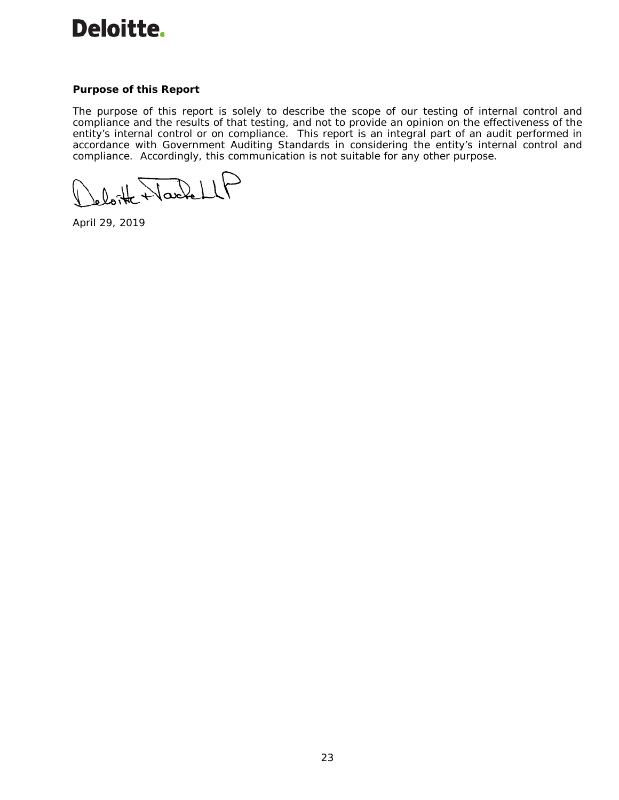

# **Purpose of this Report**

The purpose of this report is solely to describe the scope of our testing of internal control and compliance and the results of that testing, and not to provide an opinion on the effectiveness of the entity's internal control or on compliance. This report is an integral part of an audit performed in accordance with *Government Auditing Standards* in considering the entity's internal control and compliance. Accordingly, this communication is not suitable for any other purpose.

Varkell

April 29, 2019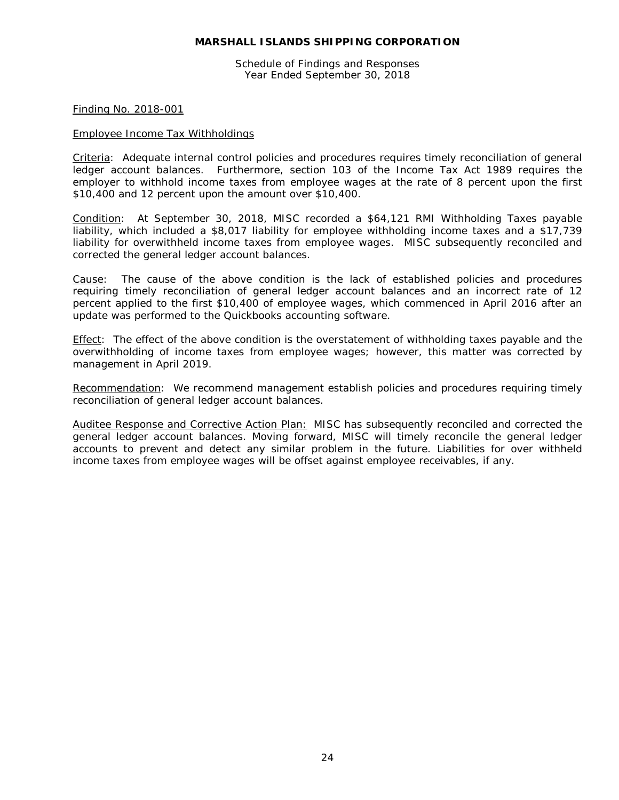Schedule of Findings and Responses Year Ended September 30, 2018

#### Finding No. 2018-001

#### Employee Income Tax Withholdings

Criteria: Adequate internal control policies and procedures requires timely reconciliation of general ledger account balances. Furthermore, section 103 of the Income Tax Act 1989 requires the employer to withhold income taxes from employee wages at the rate of 8 percent upon the first \$10,400 and 12 percent upon the amount over \$10,400.

Condition: At September 30, 2018, MISC recorded a \$64,121 RMI Withholding Taxes payable liability, which included a \$8,017 liability for employee withholding income taxes and a \$17,739 liability for overwithheld income taxes from employee wages. MISC subsequently reconciled and corrected the general ledger account balances.

Cause: The cause of the above condition is the lack of established policies and procedures requiring timely reconciliation of general ledger account balances and an incorrect rate of 12 percent applied to the first \$10,400 of employee wages, which commenced in April 2016 after an update was performed to the Quickbooks accounting software.

Effect: The effect of the above condition is the overstatement of withholding taxes payable and the overwithholding of income taxes from employee wages; however, this matter was corrected by management in April 2019.

Recommendation: We recommend management establish policies and procedures requiring timely reconciliation of general ledger account balances.

Auditee Response and Corrective Action Plan: MISC has subsequently reconciled and corrected the general ledger account balances. Moving forward, MISC will timely reconcile the general ledger accounts to prevent and detect any similar problem in the future. Liabilities for over withheld income taxes from employee wages will be offset against employee receivables, if any.